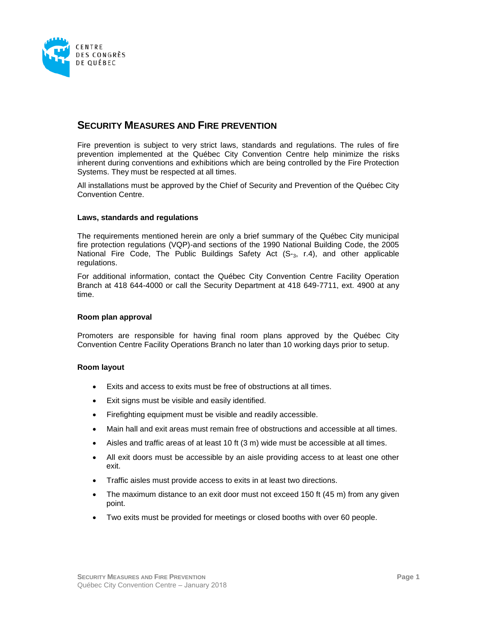

# **SECURITY MEASURES AND FIRE PREVENTION**

Fire prevention is subject to very strict laws, standards and regulations. The rules of fire prevention implemented at the Québec City Convention Centre help minimize the risks inherent during conventions and exhibitions which are being controlled by the Fire Protection Systems. They must be respected at all times.

All installations must be approved by the Chief of Security and Prevention of the Québec City Convention Centre.

# **Laws, standards and regulations**

The requirements mentioned herein are only a brief summary of the Québec City municipal fire protection regulations (VQP)-and sections of the 1990 National Building Code, the 2005 National Fire Code, The Public Buildings Safety Act  $(S_{-3}, r.4)$ , and other applicable regulations.

For additional information, contact the Québec City Convention Centre Facility Operation Branch at 418 644-4000 or call the Security Department at 418 649-7711, ext. 4900 at any time.

# **Room plan approval**

Promoters are responsible for having final room plans approved by the Québec City Convention Centre Facility Operations Branch no later than 10 working days prior to setup.

# **Room layout**

- Exits and access to exits must be free of obstructions at all times.
- Exit signs must be visible and easily identified.
- Firefighting equipment must be visible and readily accessible.
- Main hall and exit areas must remain free of obstructions and accessible at all times.
- Aisles and traffic areas of at least 10 ft (3 m) wide must be accessible at all times.
- All exit doors must be accessible by an aisle providing access to at least one other exit.
- Traffic aisles must provide access to exits in at least two directions.
- The maximum distance to an exit door must not exceed 150 ft (45 m) from any given point.
- Two exits must be provided for meetings or closed booths with over 60 people.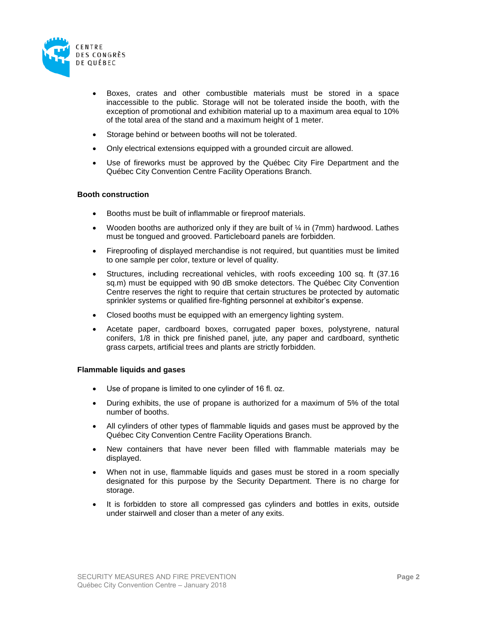

- Boxes, crates and other combustible materials must be stored in a space inaccessible to the public. Storage will not be tolerated inside the booth, with the exception of promotional and exhibition material up to a maximum area equal to 10% of the total area of the stand and a maximum height of 1 meter.
- Storage behind or between booths will not be tolerated.
- Only electrical extensions equipped with a grounded circuit are allowed.
- Use of fireworks must be approved by the Québec City Fire Department and the Québec City Convention Centre Facility Operations Branch.

### **Booth construction**

- Booths must be built of inflammable or fireproof materials.
- Wooden booths are authorized only if they are built of  $\frac{1}{4}$  in (7mm) hardwood. Lathes must be tongued and grooved. Particleboard panels are forbidden.
- Fireproofing of displayed merchandise is not required, but quantities must be limited to one sample per color, texture or level of quality.
- Structures, including recreational vehicles, with roofs exceeding 100 sq. ft (37.16 sq.m) must be equipped with 90 dB smoke detectors. The Québec City Convention Centre reserves the right to require that certain structures be protected by automatic sprinkler systems or qualified fire-fighting personnel at exhibitor's expense.
- Closed booths must be equipped with an emergency lighting system.
- Acetate paper, cardboard boxes, corrugated paper boxes, polystyrene, natural conifers, 1/8 in thick pre finished panel, jute, any paper and cardboard, synthetic grass carpets, artificial trees and plants are strictly forbidden.

### **Flammable liquids and gases**

- Use of propane is limited to one cylinder of 16 fl. oz.
- During exhibits, the use of propane is authorized for a maximum of 5% of the total number of booths.
- All cylinders of other types of flammable liquids and gases must be approved by the Québec City Convention Centre Facility Operations Branch.
- New containers that have never been filled with flammable materials may be displayed.
- When not in use, flammable liquids and gases must be stored in a room specially designated for this purpose by the Security Department. There is no charge for storage.
- It is forbidden to store all compressed gas cylinders and bottles in exits, outside under stairwell and closer than a meter of any exits.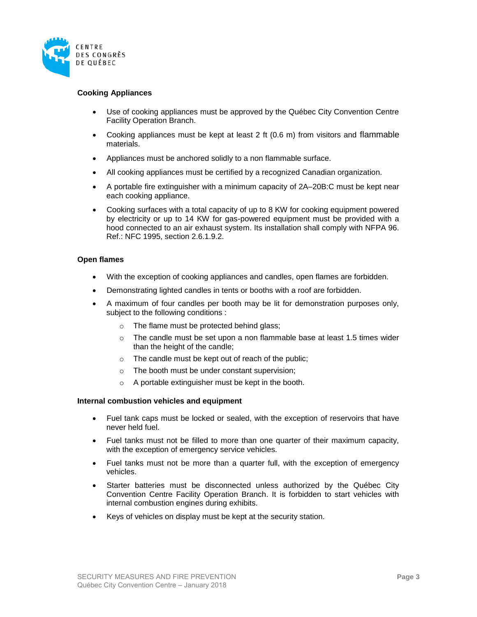

# **Cooking Appliances**

- Use of cooking appliances must be approved by the Québec City Convention Centre Facility Operation Branch.
- Cooking appliances must be kept at least 2 ft (0.6 m) from visitors and flammable materials.
- Appliances must be anchored solidly to a non flammable surface.
- All cooking appliances must be certified by a recognized Canadian organization.
- A portable fire extinguisher with a minimum capacity of 2A–20B:C must be kept near each cooking appliance.
- Cooking surfaces with a total capacity of up to 8 KW for cooking equipment powered by electricity or up to 14 KW for gas-powered equipment must be provided with a hood connected to an air exhaust system. Its installation shall comply with NFPA 96. Ref.: NFC 1995, section 2.6.1.9.2.

# **Open flames**

- With the exception of cooking appliances and candles, open flames are forbidden.
- Demonstrating lighted candles in tents or booths with a roof are forbidden.
- A maximum of four candles per booth may be lit for demonstration purposes only, subject to the following conditions :
	- o The flame must be protected behind glass;
	- $\circ$  The candle must be set upon a non flammable base at least 1.5 times wider than the height of the candle;
	- o The candle must be kept out of reach of the public;
	- o The booth must be under constant supervision;
	- o A portable extinguisher must be kept in the booth.

# **Internal combustion vehicles and equipment**

- Fuel tank caps must be locked or sealed, with the exception of reservoirs that have never held fuel.
- Fuel tanks must not be filled to more than one quarter of their maximum capacity, with the exception of emergency service vehicles.
- Fuel tanks must not be more than a quarter full, with the exception of emergency vehicles.
- Starter batteries must be disconnected unless authorized by the Québec City Convention Centre Facility Operation Branch. It is forbidden to start vehicles with internal combustion engines during exhibits.
- Keys of vehicles on display must be kept at the security station.